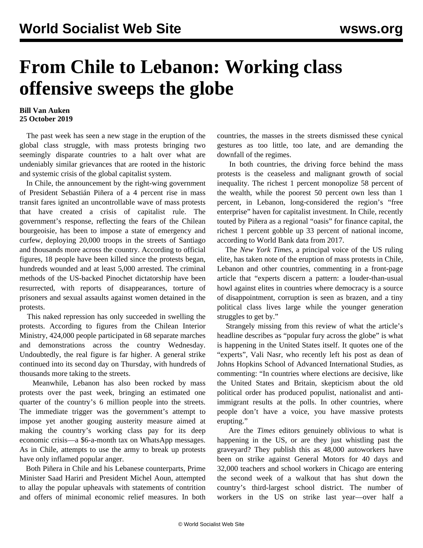## **From Chile to Lebanon: Working class offensive sweeps the globe**

## **Bill Van Auken 25 October 2019**

 The past week has seen a new stage in the eruption of the global class struggle, with mass protests bringing two seemingly disparate countries to a halt over what are undeniably similar grievances that are rooted in the historic and systemic crisis of the global capitalist system.

 In Chile, the announcement by the right-wing government of President Sebastián Piñera of a 4 percent rise in mass transit fares ignited an uncontrollable wave of mass protests that have created a crisis of capitalist rule. The government's response, reflecting the fears of the Chilean bourgeoisie, has been to impose a state of emergency and curfew, deploying 20,000 troops in the streets of Santiago and thousands more across the country. According to official figures, 18 people have been killed since the protests began, hundreds wounded and at least 5,000 arrested. The criminal methods of the US-backed Pinochet dictatorship have been resurrected, with reports of disappearances, torture of prisoners and sexual assaults against women detained in the protests.

 This naked repression has only succeeded in swelling the protests. According to figures from the Chilean Interior Ministry, 424,000 people participated in 68 separate marches and demonstrations across the country Wednesday. Undoubtedly, the real figure is far higher. A general strike continued into its second day on Thursday, with hundreds of thousands more taking to the streets.

 Meanwhile, Lebanon has also been rocked by mass protests over the past week, bringing an estimated one quarter of the country's 6 million people into the streets. The immediate trigger was the government's attempt to impose yet another gouging austerity measure aimed at making the country's working class pay for its deep economic crisis—a \$6-a-month tax on WhatsApp messages. As in Chile, attempts to use the army to break up protests have only inflamed popular anger.

 Both Piñera in Chile and his Lebanese counterparts, Prime Minister Saad Hariri and President Michel Aoun, attempted to allay the popular upheavals with statements of contrition and offers of minimal economic relief measures. In both countries, the masses in the streets dismissed these cynical gestures as too little, too late, and are demanding the downfall of the regimes.

 In both countries, the driving force behind the mass protests is the ceaseless and malignant growth of social inequality. The richest 1 percent monopolize 58 percent of the wealth, while the poorest 50 percent own less than 1 percent, in Lebanon, long-considered the region's "free enterprise" haven for capitalist investment. In Chile, recently touted by Piñera as a regional "oasis" for finance capital, the richest 1 percent gobble up 33 percent of national income, according to World Bank data from 2017.

 The *New York Times*, a principal voice of the US ruling elite, has taken note of the eruption of mass protests in Chile, Lebanon and other countries, commenting in a front-page article that "experts discern a pattern: a louder-than-usual howl against elites in countries where democracy is a source of disappointment, corruption is seen as brazen, and a tiny political class lives large while the younger generation struggles to get by."

 Strangely missing from this review of what the article's headline describes as "popular fury across the globe" is what is happening in the United States itself. It quotes one of the "experts", Vali Nasr, who recently left his post as dean of Johns Hopkins School of Advanced International Studies, as commenting: "In countries where elections are decisive, like the United States and Britain, skepticism about the old political order has produced populist, nationalist and antiimmigrant results at the polls. In other countries, where people don't have a voice, you have massive protests erupting."

 Are the *Times* editors genuinely oblivious to what is happening in the US, or are they just whistling past the graveyard? They publish this as 48,000 autoworkers have been on strike against General Motors for 40 days and 32,000 teachers and school workers in Chicago are entering the second week of a walkout that has shut down the country's third-largest school district. The number of workers in the US on strike last year—over half a